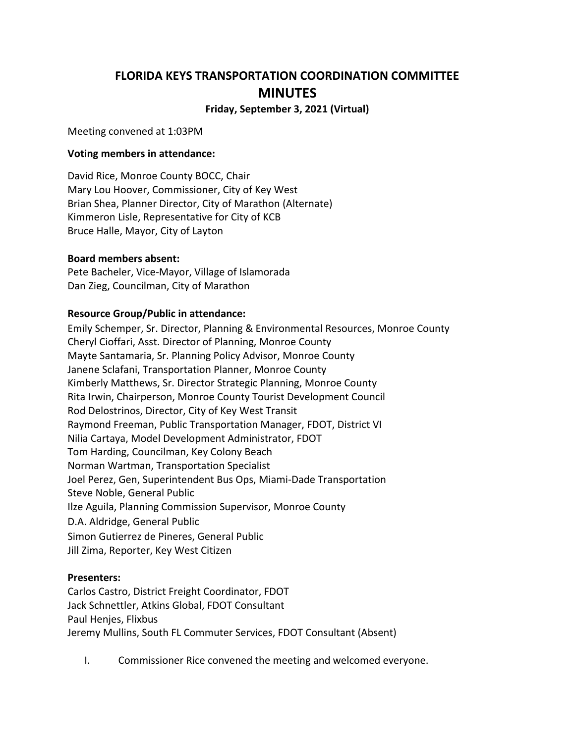# **FLORIDA KEYS TRANSPORTATION COORDINATION COMMITTEE MINUTES**

**Friday, September 3, 2021 (Virtual)**

Meeting convened at 1:03PM

## **Voting members in attendance:**

David Rice, Monroe County BOCC, Chair Mary Lou Hoover, Commissioner, City of Key West Brian Shea, Planner Director, City of Marathon (Alternate) Kimmeron Lisle, Representative for City of KCB Bruce Halle, Mayor, City of Layton

#### **Board members absent:**

Pete Bacheler, Vice-Mayor, Village of Islamorada Dan Zieg, Councilman, City of Marathon

## **Resource Group/Public in attendance:**

Emily Schemper, Sr. Director, Planning & Environmental Resources, Monroe County Cheryl Cioffari, Asst. Director of Planning, Monroe County Mayte Santamaria, Sr. Planning Policy Advisor, Monroe County Janene Sclafani, Transportation Planner, Monroe County Kimberly Matthews, Sr. Director Strategic Planning, Monroe County Rita Irwin, Chairperson, Monroe County Tourist Development Council Rod Delostrinos, Director, City of Key West Transit Raymond Freeman, Public Transportation Manager, FDOT, District VI Nilia Cartaya, Model Development Administrator, FDOT Tom Harding, Councilman, Key Colony Beach Norman Wartman, Transportation Specialist Joel Perez, Gen, Superintendent Bus Ops, Miami-Dade Transportation Steve Noble, General Public Ilze Aguila, Planning Commission Supervisor, Monroe County D.A. Aldridge, General Public Simon Gutierrez de Pineres, General Public Jill Zima, Reporter, Key West Citizen

## **Presenters:**

Carlos Castro, District Freight Coordinator, FDOT Jack Schnettler, Atkins Global, FDOT Consultant Paul Henjes, Flixbus Jeremy Mullins, South FL Commuter Services, FDOT Consultant (Absent)

I. Commissioner Rice convened the meeting and welcomed everyone.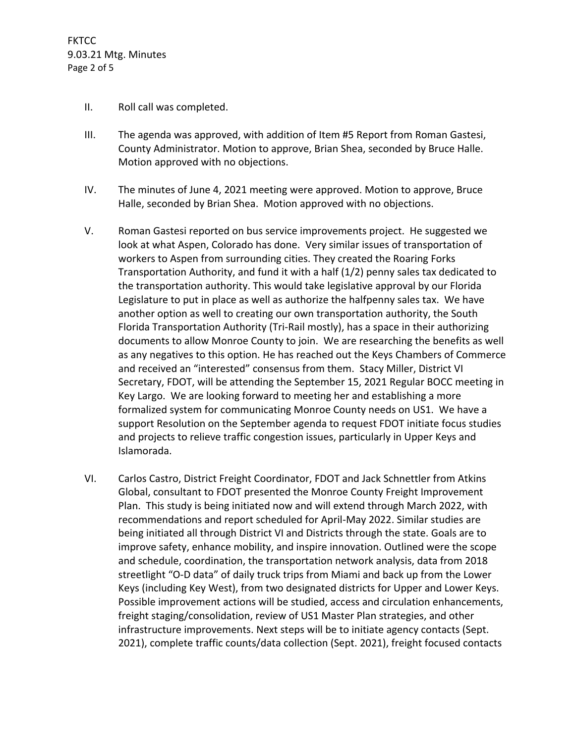#### II. Roll call was completed.

- III. The agenda was approved, with addition of Item #5 Report from Roman Gastesi, County Administrator. Motion to approve, Brian Shea, seconded by Bruce Halle. Motion approved with no objections.
- IV. The minutes of June 4, 2021 meeting were approved. Motion to approve, Bruce Halle, seconded by Brian Shea. Motion approved with no objections.
- V. Roman Gastesi reported on bus service improvements project. He suggested we look at what Aspen, Colorado has done. Very similar issues of transportation of workers to Aspen from surrounding cities. They created the Roaring Forks Transportation Authority, and fund it with a half (1/2) penny sales tax dedicated to the transportation authority. This would take legislative approval by our Florida Legislature to put in place as well as authorize the halfpenny sales tax. We have another option as well to creating our own transportation authority, the South Florida Transportation Authority (Tri-Rail mostly), has a space in their authorizing documents to allow Monroe County to join. We are researching the benefits as well as any negatives to this option. He has reached out the Keys Chambers of Commerce and received an "interested" consensus from them. Stacy Miller, District VI Secretary, FDOT, will be attending the September 15, 2021 Regular BOCC meeting in Key Largo. We are looking forward to meeting her and establishing a more formalized system for communicating Monroe County needs on US1. We have a support Resolution on the September agenda to request FDOT initiate focus studies and projects to relieve traffic congestion issues, particularly in Upper Keys and Islamorada.
- VI. Carlos Castro, District Freight Coordinator, FDOT and Jack Schnettler from Atkins Global, consultant to FDOT presented the Monroe County Freight Improvement Plan. This study is being initiated now and will extend through March 2022, with recommendations and report scheduled for April-May 2022. Similar studies are being initiated all through District VI and Districts through the state. Goals are to improve safety, enhance mobility, and inspire innovation. Outlined were the scope and schedule, coordination, the transportation network analysis, data from 2018 streetlight "O-D data" of daily truck trips from Miami and back up from the Lower Keys (including Key West), from two designated districts for Upper and Lower Keys. Possible improvement actions will be studied, access and circulation enhancements, freight staging/consolidation, review of US1 Master Plan strategies, and other infrastructure improvements. Next steps will be to initiate agency contacts (Sept. 2021), complete traffic counts/data collection (Sept. 2021), freight focused contacts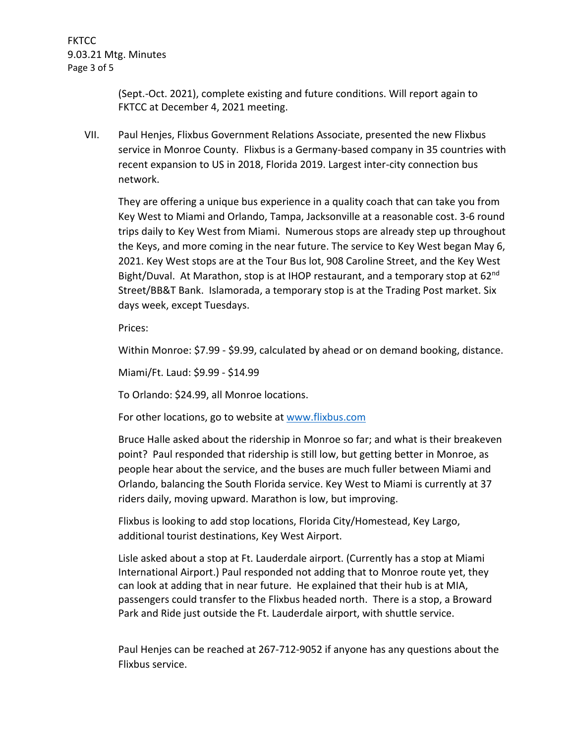**FKTCC** 9.03.21 Mtg. Minutes Page 3 of 5

> (Sept.-Oct. 2021), complete existing and future conditions. Will report again to FKTCC at December 4, 2021 meeting.

VII. Paul Henjes, Flixbus Government Relations Associate, presented the new Flixbus service in Monroe County. Flixbus is a Germany-based company in 35 countries with recent expansion to US in 2018, Florida 2019. Largest inter-city connection bus network.

They are offering a unique bus experience in a quality coach that can take you from Key West to Miami and Orlando, Tampa, Jacksonville at a reasonable cost. 3-6 round trips daily to Key West from Miami. Numerous stops are already step up throughout the Keys, and more coming in the near future. The service to Key West began May 6, 2021. Key West stops are at the Tour Bus lot, 908 Caroline Street, and the Key West Bight/Duval. At Marathon, stop is at IHOP restaurant, and a temporary stop at 62<sup>nd</sup> Street/BB&T Bank. Islamorada, a temporary stop is at the Trading Post market. Six days week, except Tuesdays.

Prices:

Within Monroe: \$7.99 - \$9.99, calculated by ahead or on demand booking, distance.

Miami/Ft. Laud: \$9.99 - \$14.99

To Orlando: \$24.99, all Monroe locations.

For other locations, go to website at [www.flixbus.com](http://www.flixbus.com/)

Bruce Halle asked about the ridership in Monroe so far; and what is their breakeven point? Paul responded that ridership is still low, but getting better in Monroe, as people hear about the service, and the buses are much fuller between Miami and Orlando, balancing the South Florida service. Key West to Miami is currently at 37 riders daily, moving upward. Marathon is low, but improving.

Flixbus is looking to add stop locations, Florida City/Homestead, Key Largo, additional tourist destinations, Key West Airport.

Lisle asked about a stop at Ft. Lauderdale airport. (Currently has a stop at Miami International Airport.) Paul responded not adding that to Monroe route yet, they can look at adding that in near future. He explained that their hub is at MIA, passengers could transfer to the Flixbus headed north. There is a stop, a Broward Park and Ride just outside the Ft. Lauderdale airport, with shuttle service.

Paul Henjes can be reached at 267-712-9052 if anyone has any questions about the Flixbus service.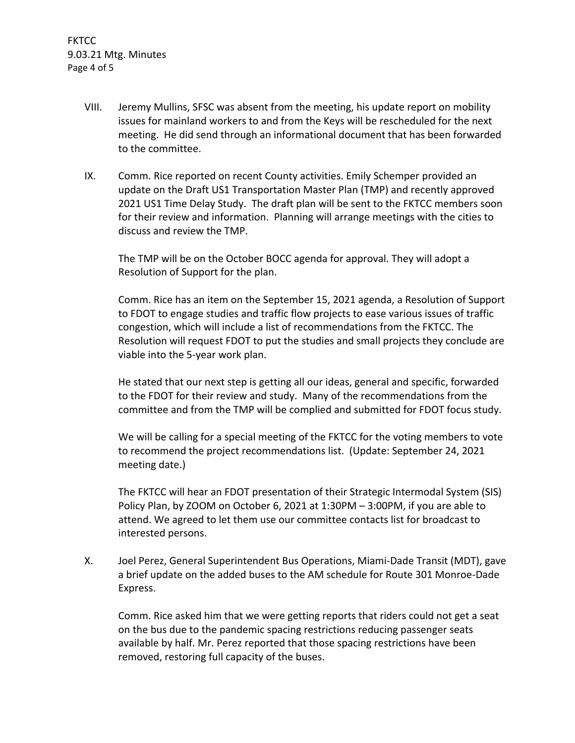- VIII. Jeremy Mullins, SFSC was absent from the meeting, his update report on mobility issues for mainland workers to and from the Keys will be rescheduled for the next meeting. He did send through an informational document that has been forwarded to the committee.
- IX. Comm. Rice reported on recent County activities. Emily Schemper provided an update on the Draft US1 Transportation Master Plan (TMP) and recently approved 2021 US1 Time Delay Study. The draft plan will be sent to the FKTCC members soon for their review and information. Planning will arrange meetings with the cities to discuss and review the TMP.

The TMP will be on the October BOCC agenda for approval. They will adopt a Resolution of Support for the plan.

Comm. Rice has an item on the September 15, 2021 agenda, a Resolution of Support to FDOT to engage studies and traffic flow projects to ease various issues of traffic congestion, which will include a list of recommendations from the FKTCC. The Resolution will request FDOT to put the studies and small projects they conclude are viable into the 5-year work plan.

He stated that our next step is getting all our ideas, general and specific, forwarded to the FDOT for their review and study. Many of the recommendations from the committee and from the TMP will be complied and submitted for FDOT focus study.

We will be calling for a special meeting of the FKTCC for the voting members to vote to recommend the project recommendations list. (Update: September 24, 2021 meeting date.)

The FKTCC will hear an FDOT presentation of their Strategic Intermodal System (SIS) Policy Plan, by ZOOM on October 6, 2021 at 1:30PM – 3:00PM, if you are able to attend. We agreed to let them use our committee contacts list for broadcast to interested persons.

X. Joel Perez, General Superintendent Bus Operations, Miami-Dade Transit (MDT), gave a brief update on the added buses to the AM schedule for Route 301 Monroe-Dade Express.

Comm. Rice asked him that we were getting reports that riders could not get a seat on the bus due to the pandemic spacing restrictions reducing passenger seats available by half. Mr. Perez reported that those spacing restrictions have been removed, restoring full capacity of the buses.